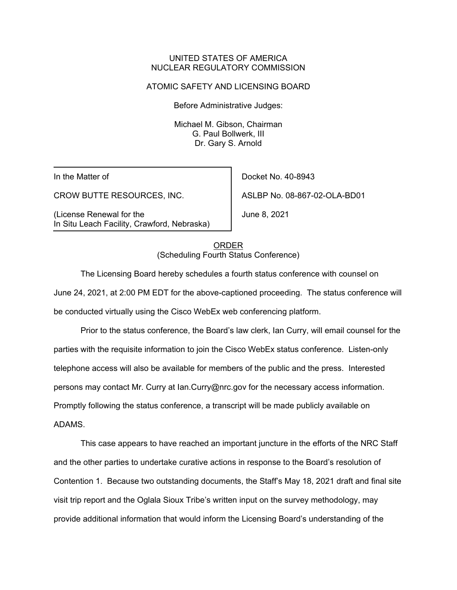### UNITED STATES OF AMERICA NUCLEAR REGULATORY COMMISSION

#### ATOMIC SAFETY AND LICENSING BOARD

Before Administrative Judges:

Michael M. Gibson, Chairman G. Paul Bollwerk, III Dr. Gary S. Arnold

In the Matter of

CROW BUTTE RESOURCES, INC.

(License Renewal for the In Situ Leach Facility, Crawford, Nebraska)

Docket No. 40-8943 ASLBP No. 08-867-02-OLA-BD01

June 8, 2021

ORDER (Scheduling Fourth Status Conference)

The Licensing Board hereby schedules a fourth status conference with counsel on June 24, 2021, at 2:00 PM EDT for the above-captioned proceeding. The status conference will be conducted virtually using the Cisco WebEx web conferencing platform.

Prior to the status conference, the Board's law clerk, Ian Curry, will email counsel for the parties with the requisite information to join the Cisco WebEx status conference. Listen-only telephone access will also be available for members of the public and the press. Interested persons may contact Mr. Curry at Ian.Curry@nrc.gov for the necessary access information. Promptly following the status conference, a transcript will be made publicly available on ADAMS.

This case appears to have reached an important juncture in the efforts of the NRC Staff and the other parties to undertake curative actions in response to the Board's resolution of Contention 1. Because two outstanding documents, the Staff's May 18, 2021 draft and final site visit trip report and the Oglala Sioux Tribe's written input on the survey methodology, may provide additional information that would inform the Licensing Board's understanding of the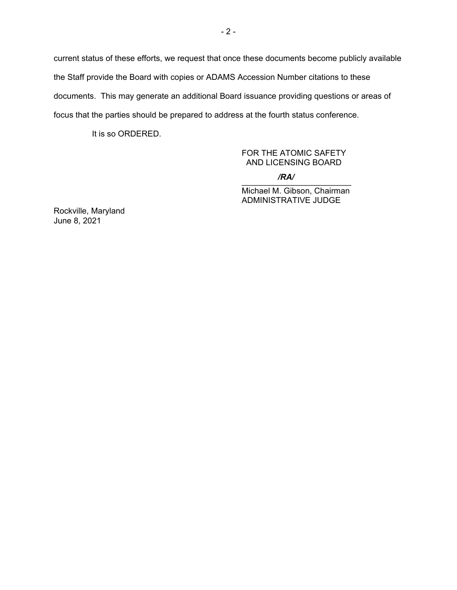current status of these efforts, we request that once these documents become publicly available the Staff provide the Board with copies or ADAMS Accession Number citations to these documents. This may generate an additional Board issuance providing questions or areas of focus that the parties should be prepared to address at the fourth status conference.

It is so ORDERED.

# FOR THE ATOMIC SAFETY AND LICENSING BOARD

 $\overline{N}$ */RA/*

Michael M. Gibson, Chairman ADMINISTRATIVE JUDGE

Rockville, Maryland June 8, 2021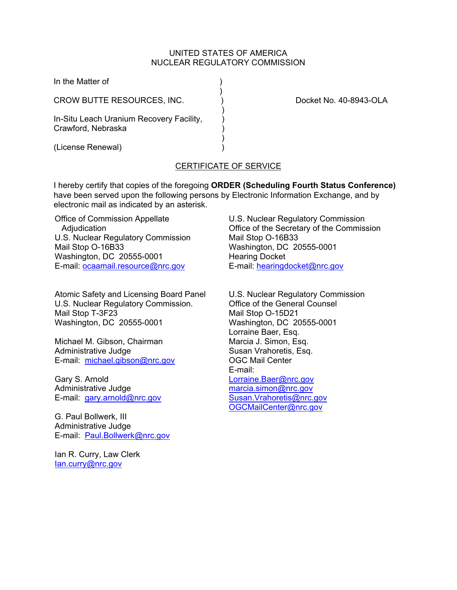#### UNITED STATES OF AMERICA NUCLEAR REGULATORY COMMISSION

| In the Matter of                                               |                        |
|----------------------------------------------------------------|------------------------|
| CROW BUTTE RESOURCES, INC.                                     | Docket No. 40-8943-OLA |
| In-Situ Leach Uranium Recovery Facility,<br>Crawford, Nebraska |                        |
| (License Renewal)                                              |                        |

### CERTIFICATE OF SERVICE

I hereby certify that copies of the foregoing **ORDER (Scheduling Fourth Status Conference)** have been served upon the following persons by Electronic Information Exchange, and by electronic mail as indicated by an asterisk.

Office of Commission Appellate Adjudication U.S. Nuclear Regulatory Commission Mail Stop O-16B33 Washington, DC 20555-0001 E-mail: ocaamail.resource@nrc.gov

Atomic Safety and Licensing Board Panel U.S. Nuclear Regulatory Commission. Mail Stop T-3F23 Washington, DC 20555-0001

Michael M. Gibson, Chairman Administrative Judge E-mail: michael.gibson@nrc.gov

Gary S. Arnold Administrative Judge E-mail: gary.arnold@nrc.gov

G. Paul Bollwerk, III Administrative Judge E-mail: Paul.Bollwerk@nrc.gov

Ian R. Curry, Law Clerk Ian.curry@nrc.gov

U.S. Nuclear Regulatory Commission Office of the Secretary of the Commission Mail Stop O-16B33 Washington, DC 20555-0001 Hearing Docket E-mail: hearingdocket@nrc.gov

U.S. Nuclear Regulatory Commission Office of the General Counsel Mail Stop O-15D21 Washington, DC 20555-0001 Lorraine Baer, Esq. Marcia J. Simon, Esq. Susan Vrahoretis, Esq. OGC Mail Center E-mail: Lorraine.Baer@nrc.gov marcia.simon@nrc.gov Susan.Vrahoretis@nrc.gov OGCMailCenter@nrc.gov